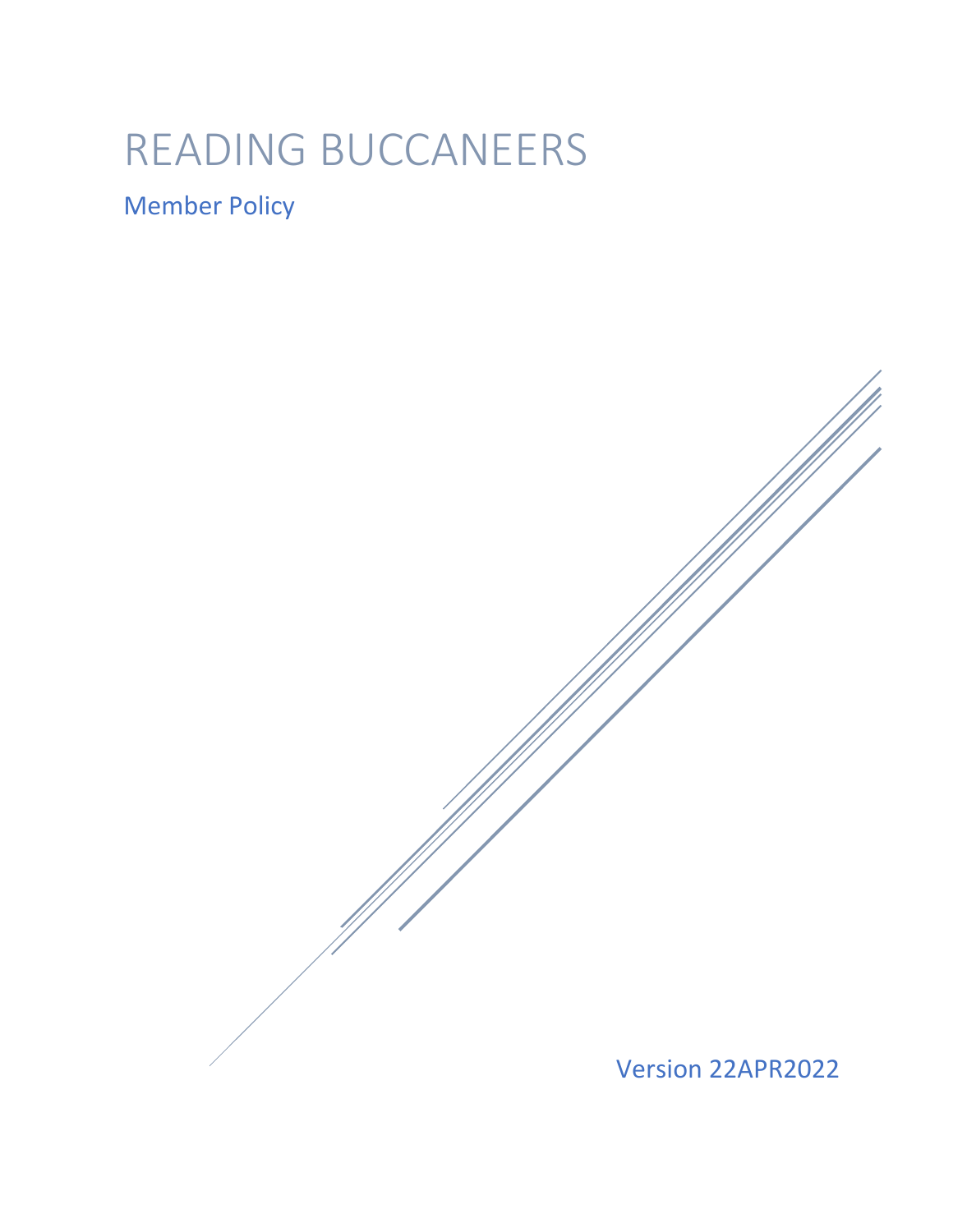# READING BUCCANEERS

## Member Policy

Version 22APR2022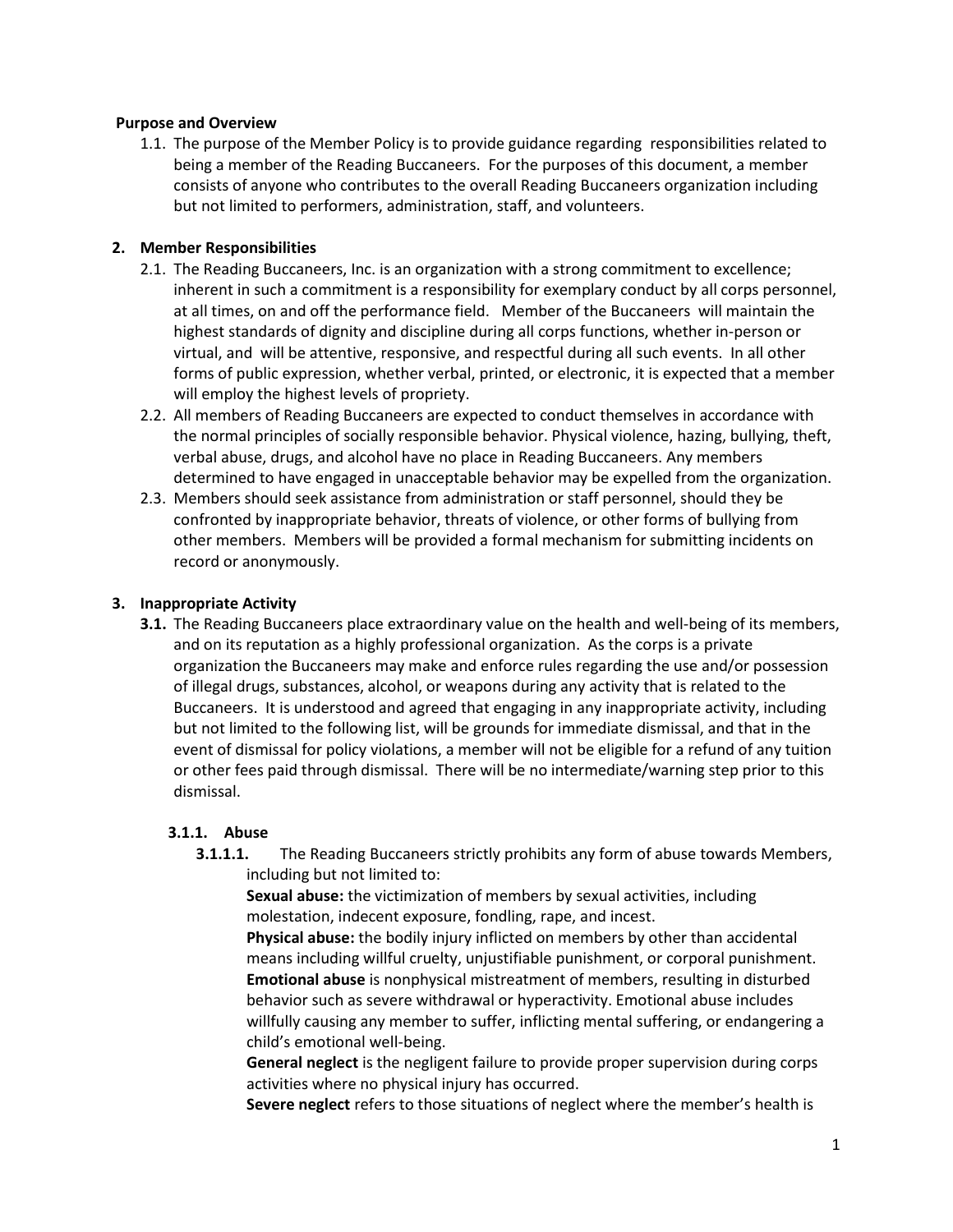#### **Purpose and Overview**

1.1. The purpose of the Member Policy is to provide guidance regarding responsibilities related to being a member of the Reading Buccaneers. For the purposes of this document, a member consists of anyone who contributes to the overall Reading Buccaneers organization including but not limited to performers, administration, staff, and volunteers.

#### **2. Member Responsibilities**

- 2.1. The Reading Buccaneers, Inc. is an organization with a strong commitment to excellence; inherent in such a commitment is a responsibility for exemplary conduct by all corps personnel, at all times, on and off the performance field. Member of the Buccaneers will maintain the highest standards of dignity and discipline during all corps functions, whether in-person or virtual, and will be attentive, responsive, and respectful during all such events. In all other forms of public expression, whether verbal, printed, or electronic, it is expected that a member will employ the highest levels of propriety.
- 2.2. All members of Reading Buccaneers are expected to conduct themselves in accordance with the normal principles of socially responsible behavior. Physical violence, hazing, bullying, theft, verbal abuse, drugs, and alcohol have no place in Reading Buccaneers. Any members determined to have engaged in unacceptable behavior may be expelled from the organization.
- 2.3. Members should seek assistance from administration or staff personnel, should they be confronted by inappropriate behavior, threats of violence, or other forms of bullying from other members. Members will be provided a formal mechanism for submitting incidents on record or anonymously.

#### **3. Inappropriate Activity**

**3.1.** The Reading Buccaneers place extraordinary value on the health and well-being of its members, and on its reputation as a highly professional organization. As the corps is a private organization the Buccaneers may make and enforce rules regarding the use and/or possession of illegal drugs, substances, alcohol, or weapons during any activity that is related to the Buccaneers. It is understood and agreed that engaging in any inappropriate activity, including but not limited to the following list, will be grounds for immediate dismissal, and that in the event of dismissal for policy violations, a member will not be eligible for a refund of any tuition or other fees paid through dismissal. There will be no intermediate/warning step prior to this dismissal.

#### **3.1.1. Abuse**

**3.1.1.1.** The Reading Buccaneers strictly prohibits any form of abuse towards Members, including but not limited to:

**Sexual abuse:** the victimization of members by sexual activities, including molestation, indecent exposure, fondling, rape, and incest.

**Physical abuse:** the bodily injury inflicted on members by other than accidental means including willful cruelty, unjustifiable punishment, or corporal punishment. **Emotional abuse** is nonphysical mistreatment of members, resulting in disturbed behavior such as severe withdrawal or hyperactivity. Emotional abuse includes willfully causing any member to suffer, inflicting mental suffering, or endangering a child's emotional well-being.

**General neglect** is the negligent failure to provide proper supervision during corps activities where no physical injury has occurred.

**Severe neglect** refers to those situations of neglect where the member's health is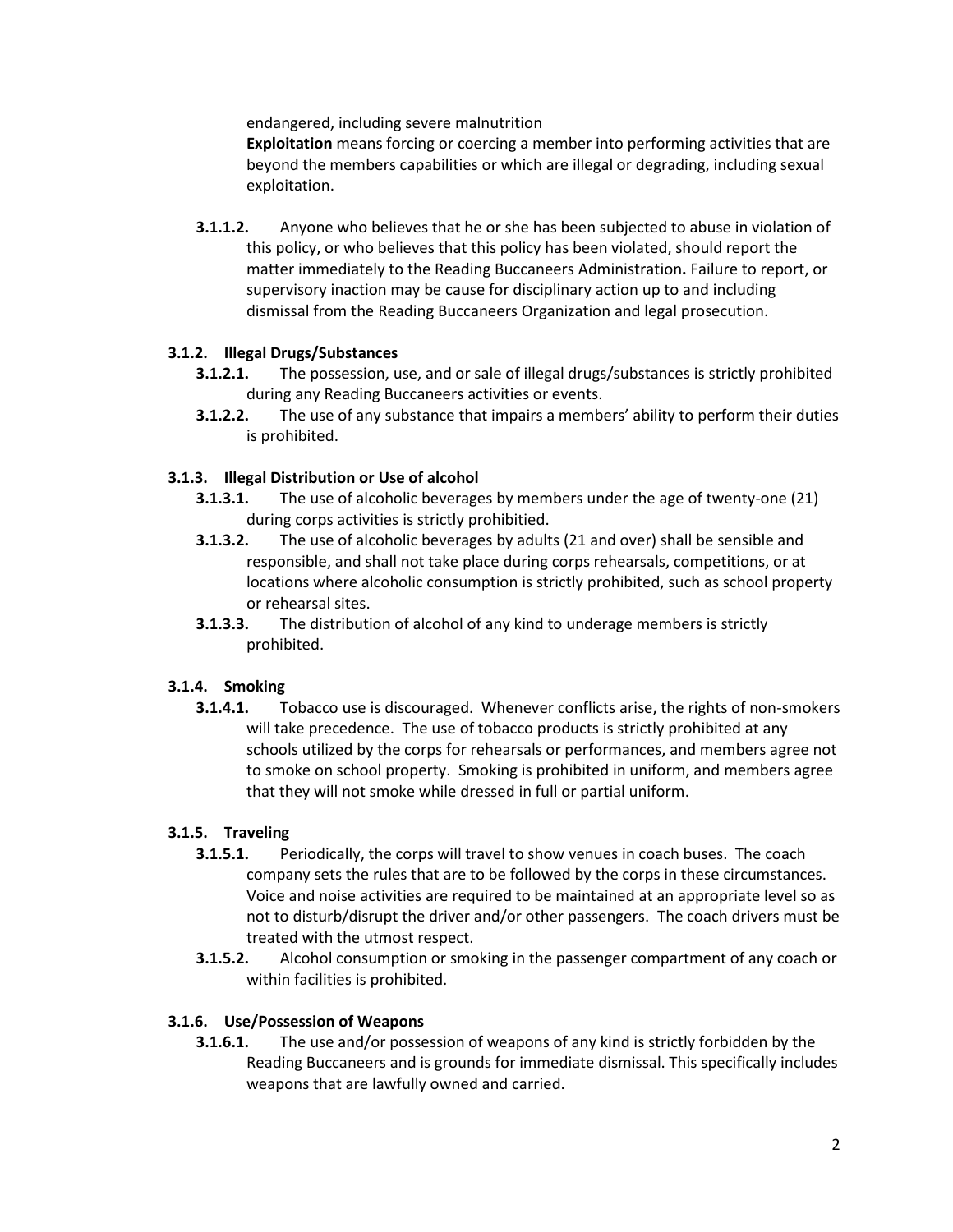endangered, including severe malnutrition

**Exploitation** means forcing or coercing a member into performing activities that are beyond the members capabilities or which are illegal or degrading, including sexual exploitation.

**3.1.1.2.** Anyone who believes that he or she has been subjected to abuse in violation of this policy, or who believes that this policy has been violated, should report the matter immediately to the Reading Buccaneers Administration**.** Failure to report, or supervisory inaction may be cause for disciplinary action up to and including dismissal from the Reading Buccaneers Organization and legal prosecution.

#### **3.1.2. Illegal Drugs/Substances**

- **3.1.2.1.** The possession, use, and or sale of illegal drugs/substances is strictly prohibited during any Reading Buccaneers activities or events.
- **3.1.2.2.** The use of any substance that impairs a members' ability to perform their duties is prohibited.

#### **3.1.3. Illegal Distribution or Use of alcohol**

- **3.1.3.1.** The use of alcoholic beverages by members under the age of twenty-one (21) during corps activities is strictly prohibitied.
- **3.1.3.2.** The use of alcoholic beverages by adults (21 and over) shall be sensible and responsible, and shall not take place during corps rehearsals, competitions, or at locations where alcoholic consumption is strictly prohibited, such as school property or rehearsal sites.
- **3.1.3.3.** The distribution of alcohol of any kind to underage members is strictly prohibited.

#### **3.1.4. Smoking**

**3.1.4.1.** Tobacco use is discouraged. Whenever conflicts arise, the rights of non-smokers will take precedence. The use of tobacco products is strictly prohibited at any schools utilized by the corps for rehearsals or performances, and members agree not to smoke on school property. Smoking is prohibited in uniform, and members agree that they will not smoke while dressed in full or partial uniform.

#### **3.1.5. Traveling**

- **3.1.5.1.** Periodically, the corps will travel to show venues in coach buses. The coach company sets the rules that are to be followed by the corps in these circumstances. Voice and noise activities are required to be maintained at an appropriate level so as not to disturb/disrupt the driver and/or other passengers. The coach drivers must be treated with the utmost respect.
- **3.1.5.2.** Alcohol consumption or smoking in the passenger compartment of any coach or within facilities is prohibited.

#### **3.1.6. Use/Possession of Weapons**

**3.1.6.1.** The use and/or possession of weapons of any kind is strictly forbidden by the Reading Buccaneers and is grounds for immediate dismissal. This specifically includes weapons that are lawfully owned and carried.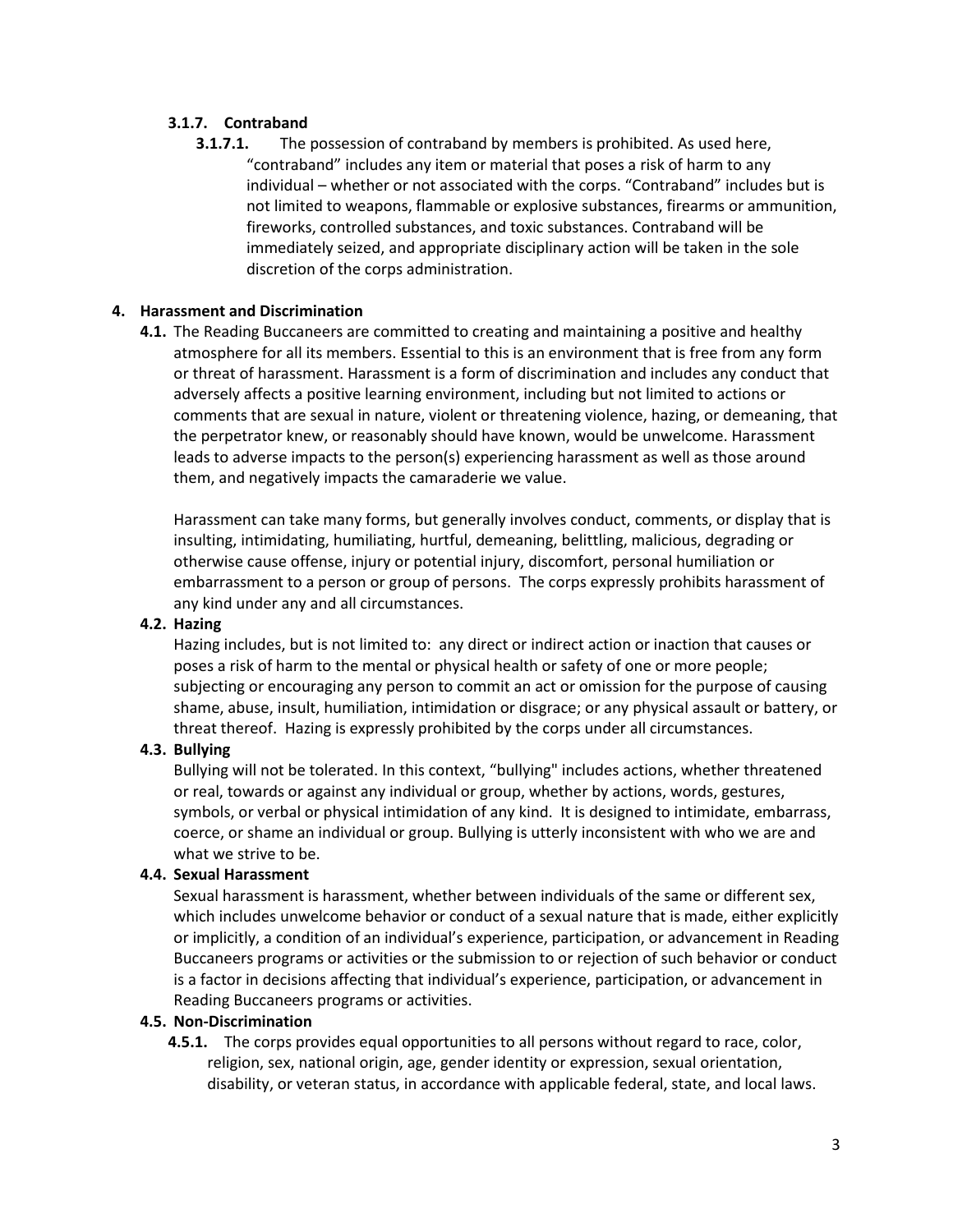#### **3.1.7. Contraband**

**3.1.7.1.** The possession of contraband by members is prohibited. As used here, "contraband" includes any item or material that poses a risk of harm to any individual – whether or not associated with the corps. "Contraband" includes but is not limited to weapons, flammable or explosive substances, firearms or ammunition, fireworks, controlled substances, and toxic substances. Contraband will be immediately seized, and appropriate disciplinary action will be taken in the sole discretion of the corps administration.

#### **4. Harassment and Discrimination**

**4.1.** The Reading Buccaneers are committed to creating and maintaining a positive and healthy atmosphere for all its members. Essential to this is an environment that is free from any form or threat of harassment. Harassment is a form of discrimination and includes any conduct that adversely affects a positive learning environment, including but not limited to actions or comments that are sexual in nature, violent or threatening violence, hazing, or demeaning, that the perpetrator knew, or reasonably should have known, would be unwelcome. Harassment leads to adverse impacts to the person(s) experiencing harassment as well as those around them, and negatively impacts the camaraderie we value.

Harassment can take many forms, but generally involves conduct, comments, or display that is insulting, intimidating, humiliating, hurtful, demeaning, belittling, malicious, degrading or otherwise cause offense, injury or potential injury, discomfort, personal humiliation or embarrassment to a person or group of persons. The corps expressly prohibits harassment of any kind under any and all circumstances.

#### **4.2. Hazing**

Hazing includes, but is not limited to: any direct or indirect action or inaction that causes or poses a risk of harm to the mental or physical health or safety of one or more people; subjecting or encouraging any person to commit an act or omission for the purpose of causing shame, abuse, insult, humiliation, intimidation or disgrace; or any physical assault or battery, or threat thereof. Hazing is expressly prohibited by the corps under all circumstances.

#### **4.3. Bullying**

Bullying will not be tolerated. In this context, "bullying" includes actions, whether threatened or real, towards or against any individual or group, whether by actions, words, gestures, symbols, or verbal or physical intimidation of any kind. It is designed to intimidate, embarrass, coerce, or shame an individual or group. Bullying is utterly inconsistent with who we are and what we strive to be.

#### **4.4. Sexual Harassment**

Sexual harassment is harassment, whether between individuals of the same or different sex, which includes unwelcome behavior or conduct of a sexual nature that is made, either explicitly or implicitly, a condition of an individual's experience, participation, or advancement in Reading Buccaneers programs or activities or the submission to or rejection of such behavior or conduct is a factor in decisions affecting that individual's experience, participation, or advancement in Reading Buccaneers programs or activities.

#### **4.5. Non-Discrimination**

**4.5.1.** The corps provides equal opportunities to all persons without regard to race, color, religion, sex, national origin, age, gender identity or expression, sexual orientation, disability, or veteran status, in accordance with applicable federal, state, and local laws.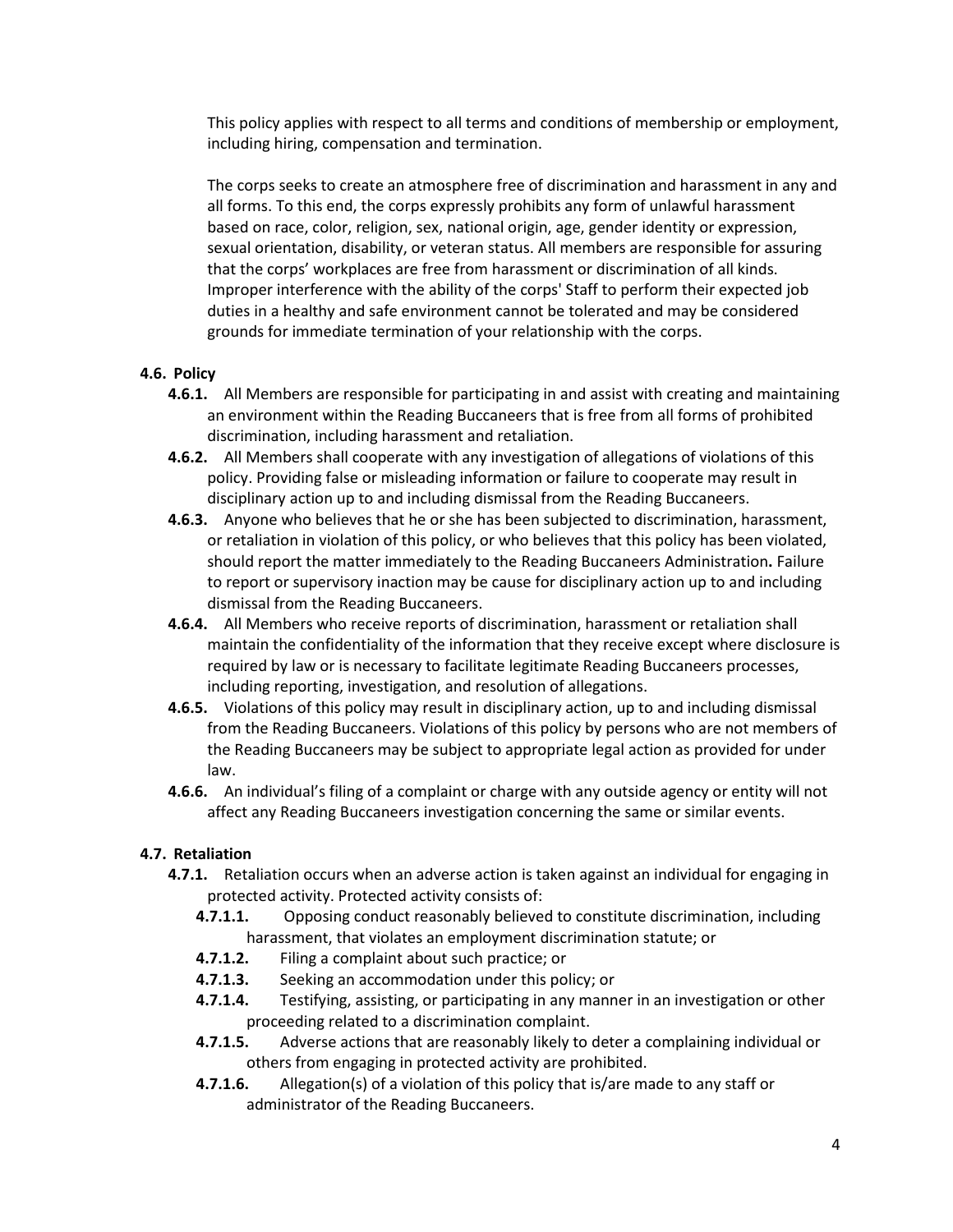This policy applies with respect to all terms and conditions of membership or employment, including hiring, compensation and termination.

The corps seeks to create an atmosphere free of discrimination and harassment in any and all forms. To this end, the corps expressly prohibits any form of unlawful harassment based on race, color, religion, sex, national origin, age, gender identity or expression, sexual orientation, disability, or veteran status. All members are responsible for assuring that the corps' workplaces are free from harassment or discrimination of all kinds. Improper interference with the ability of the corps' Staff to perform their expected job duties in a healthy and safe environment cannot be tolerated and may be considered grounds for immediate termination of your relationship with the corps.

#### **4.6. Policy**

- **4.6.1.** All Members are responsible for participating in and assist with creating and maintaining an environment within the Reading Buccaneers that is free from all forms of prohibited discrimination, including harassment and retaliation.
- **4.6.2.** All Members shall cooperate with any investigation of allegations of violations of this policy. Providing false or misleading information or failure to cooperate may result in disciplinary action up to and including dismissal from the Reading Buccaneers.
- **4.6.3.** Anyone who believes that he or she has been subjected to discrimination, harassment, or retaliation in violation of this policy, or who believes that this policy has been violated, should report the matter immediately to the Reading Buccaneers Administration**.** Failure to report or supervisory inaction may be cause for disciplinary action up to and including dismissal from the Reading Buccaneers.
- **4.6.4.** All Members who receive reports of discrimination, harassment or retaliation shall maintain the confidentiality of the information that they receive except where disclosure is required by law or is necessary to facilitate legitimate Reading Buccaneers processes, including reporting, investigation, and resolution of allegations.
- **4.6.5.** Violations of this policy may result in disciplinary action, up to and including dismissal from the Reading Buccaneers. Violations of this policy by persons who are not members of the Reading Buccaneers may be subject to appropriate legal action as provided for under law.
- **4.6.6.** An individual's filing of a complaint or charge with any outside agency or entity will not affect any Reading Buccaneers investigation concerning the same or similar events.

#### **4.7. Retaliation**

- **4.7.1.** Retaliation occurs when an adverse action is taken against an individual for engaging in protected activity. Protected activity consists of:
	- **4.7.1.1.** Opposing conduct reasonably believed to constitute discrimination, including harassment, that violates an employment discrimination statute; or
	- **4.7.1.2.** Filing a complaint about such practice; or
	- **4.7.1.3.** Seeking an accommodation under this policy; or
	- **4.7.1.4.** Testifying, assisting, or participating in any manner in an investigation or other proceeding related to a discrimination complaint.
	- **4.7.1.5.** Adverse actions that are reasonably likely to deter a complaining individual or others from engaging in protected activity are prohibited.
	- **4.7.1.6.** Allegation(s) of a violation of this policy that is/are made to any staff or administrator of the Reading Buccaneers.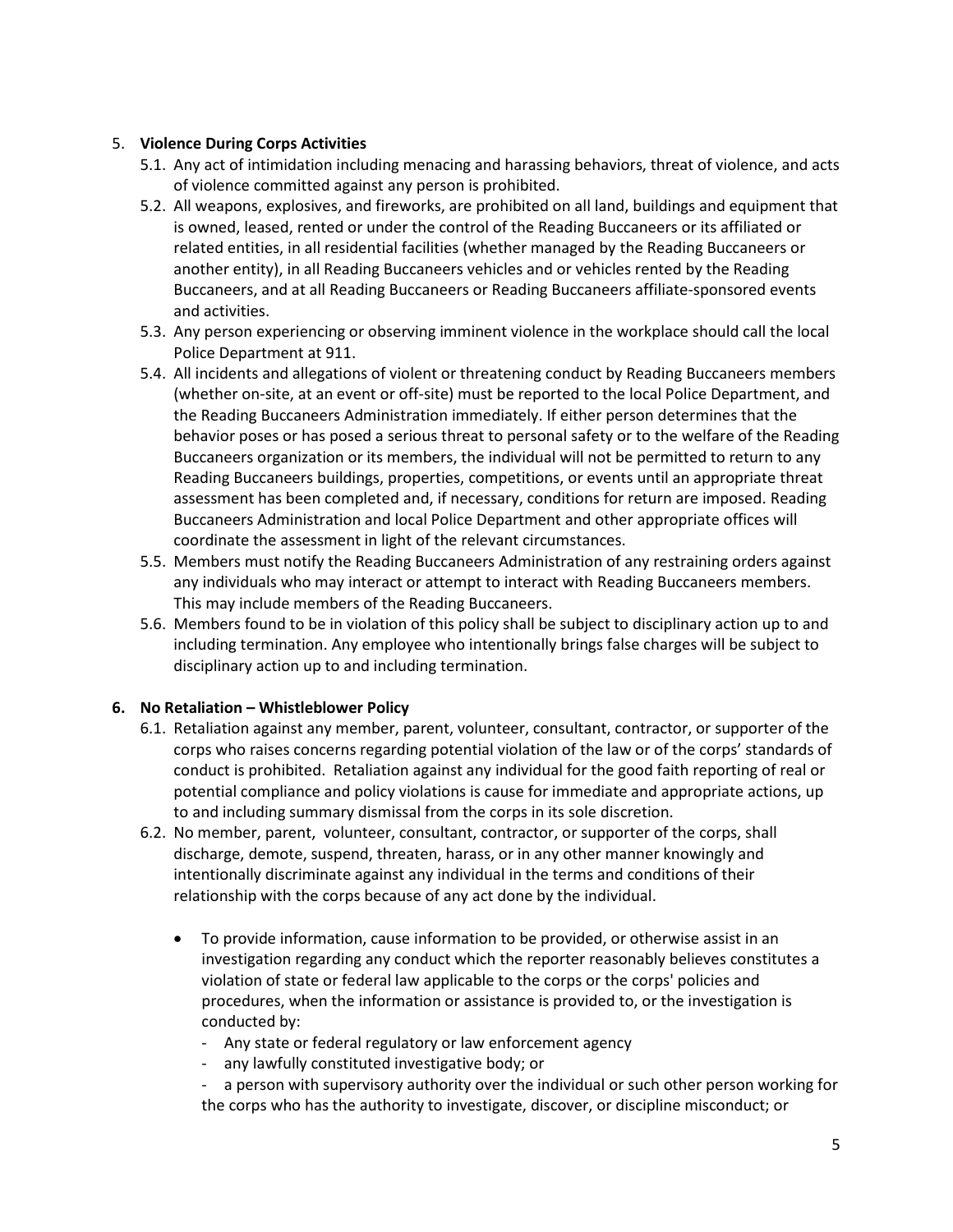#### 5. **Violence During Corps Activities**

- 5.1. Any act of intimidation including menacing and harassing behaviors, threat of violence, and acts of violence committed against any person is prohibited.
- 5.2. All weapons, explosives, and fireworks, are prohibited on all land, buildings and equipment that is owned, leased, rented or under the control of the Reading Buccaneers or its affiliated or related entities, in all residential facilities (whether managed by the Reading Buccaneers or another entity), in all Reading Buccaneers vehicles and or vehicles rented by the Reading Buccaneers, and at all Reading Buccaneers or Reading Buccaneers affiliate-sponsored events and activities.
- 5.3. Any person experiencing or observing imminent violence in the workplace should call the local Police Department at 911.
- 5.4. All incidents and allegations of violent or threatening conduct by Reading Buccaneers members (whether on-site, at an event or off-site) must be reported to the local Police Department, and the Reading Buccaneers Administration immediately. If either person determines that the behavior poses or has posed a serious threat to personal safety or to the welfare of the Reading Buccaneers organization or its members, the individual will not be permitted to return to any Reading Buccaneers buildings, properties, competitions, or events until an appropriate threat assessment has been completed and, if necessary, conditions for return are imposed. Reading Buccaneers Administration and local Police Department and other appropriate offices will coordinate the assessment in light of the relevant circumstances.
- 5.5. Members must notify the Reading Buccaneers Administration of any restraining orders against any individuals who may interact or attempt to interact with Reading Buccaneers members. This may include members of the Reading Buccaneers.
- 5.6. Members found to be in violation of this policy shall be subject to disciplinary action up to and including termination. Any employee who intentionally brings false charges will be subject to disciplinary action up to and including termination.

#### **6. No Retaliation – Whistleblower Policy**

- 6.1. Retaliation against any member, parent, volunteer, consultant, contractor, or supporter of the corps who raises concerns regarding potential violation of the law or of the corps' standards of conduct is prohibited. Retaliation against any individual for the good faith reporting of real or potential compliance and policy violations is cause for immediate and appropriate actions, up to and including summary dismissal from the corps in its sole discretion.
- 6.2. No member, parent, volunteer, consultant, contractor, or supporter of the corps, shall discharge, demote, suspend, threaten, harass, or in any other manner knowingly and intentionally discriminate against any individual in the terms and conditions of their relationship with the corps because of any act done by the individual.
	- To provide information, cause information to be provided, or otherwise assist in an investigation regarding any conduct which the reporter reasonably believes constitutes a violation of state or federal law applicable to the corps or the corps' policies and procedures, when the information or assistance is provided to, or the investigation is conducted by:
		- Any state or federal regulatory or law enforcement agency
		- any lawfully constituted investigative body; or
		- a person with supervisory authority over the individual or such other person working for the corps who has the authority to investigate, discover, or discipline misconduct; or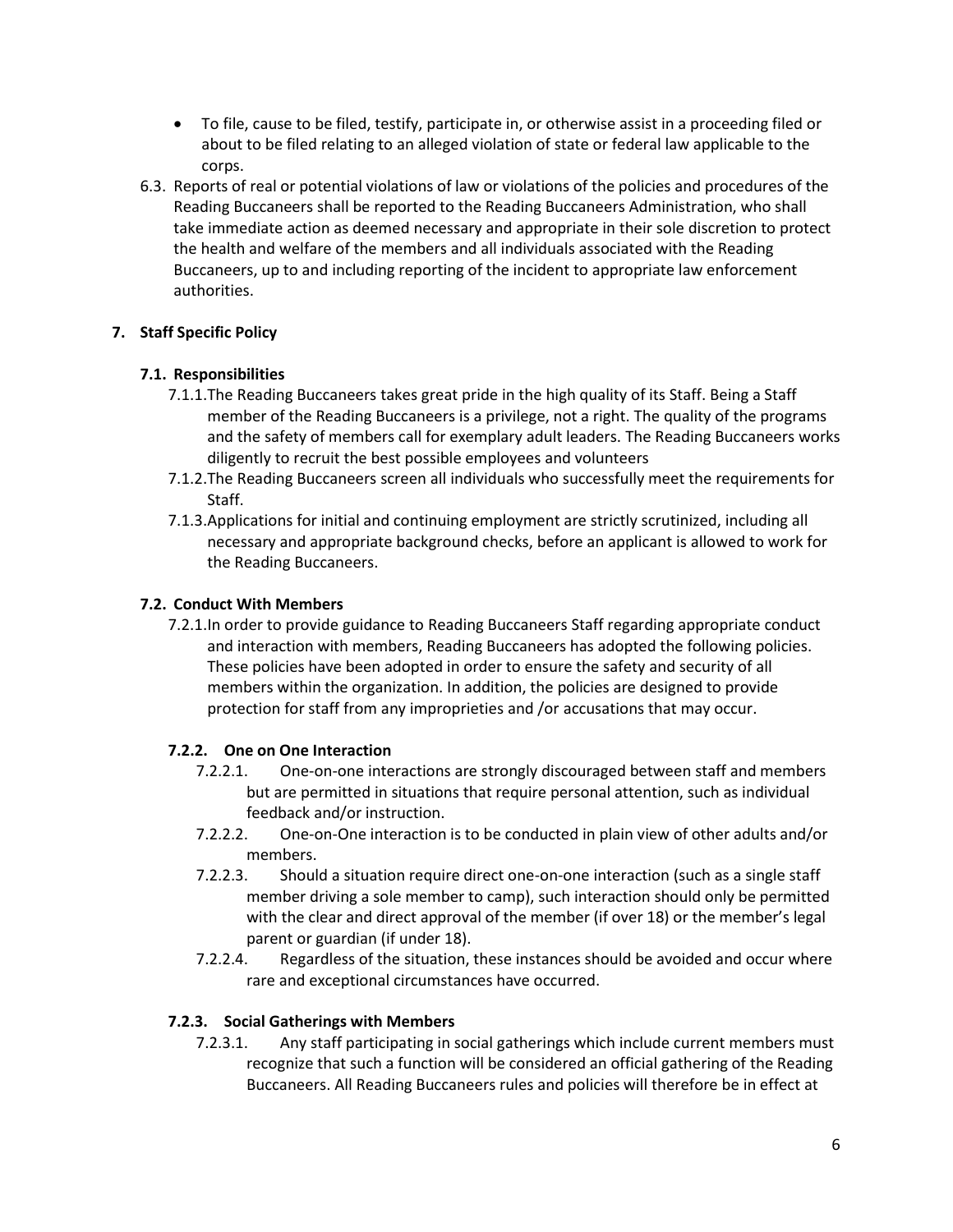- To file, cause to be filed, testify, participate in, or otherwise assist in a proceeding filed or about to be filed relating to an alleged violation of state or federal law applicable to the corps.
- 6.3. Reports of real or potential violations of law or violations of the policies and procedures of the Reading Buccaneers shall be reported to the Reading Buccaneers Administration, who shall take immediate action as deemed necessary and appropriate in their sole discretion to protect the health and welfare of the members and all individuals associated with the Reading Buccaneers, up to and including reporting of the incident to appropriate law enforcement authorities.

#### **7. Staff Specific Policy**

#### **7.1. Responsibilities**

- 7.1.1.The Reading Buccaneers takes great pride in the high quality of its Staff. Being a Staff member of the Reading Buccaneers is a privilege, not a right. The quality of the programs and the safety of members call for exemplary adult leaders. The Reading Buccaneers works diligently to recruit the best possible employees and volunteers
- 7.1.2.The Reading Buccaneers screen all individuals who successfully meet the requirements for Staff.
- 7.1.3.Applications for initial and continuing employment are strictly scrutinized, including all necessary and appropriate background checks, before an applicant is allowed to work for the Reading Buccaneers.

#### **7.2. Conduct With Members**

7.2.1.In order to provide guidance to Reading Buccaneers Staff regarding appropriate conduct and interaction with members, Reading Buccaneers has adopted the following policies. These policies have been adopted in order to ensure the safety and security of all members within the organization. In addition, the policies are designed to provide protection for staff from any improprieties and /or accusations that may occur.

#### **7.2.2. One on One Interaction**

- 7.2.2.1. One-on-one interactions are strongly discouraged between staff and members but are permitted in situations that require personal attention, such as individual feedback and/or instruction.
- 7.2.2.2. One-on-One interaction is to be conducted in plain view of other adults and/or members.
- 7.2.2.3. Should a situation require direct one-on-one interaction (such as a single staff member driving a sole member to camp), such interaction should only be permitted with the clear and direct approval of the member (if over 18) or the member's legal parent or guardian (if under 18).
- 7.2.2.4. Regardless of the situation, these instances should be avoided and occur where rare and exceptional circumstances have occurred.

#### **7.2.3. Social Gatherings with Members**

7.2.3.1. Any staff participating in social gatherings which include current members must recognize that such a function will be considered an official gathering of the Reading Buccaneers. All Reading Buccaneers rules and policies will therefore be in effect at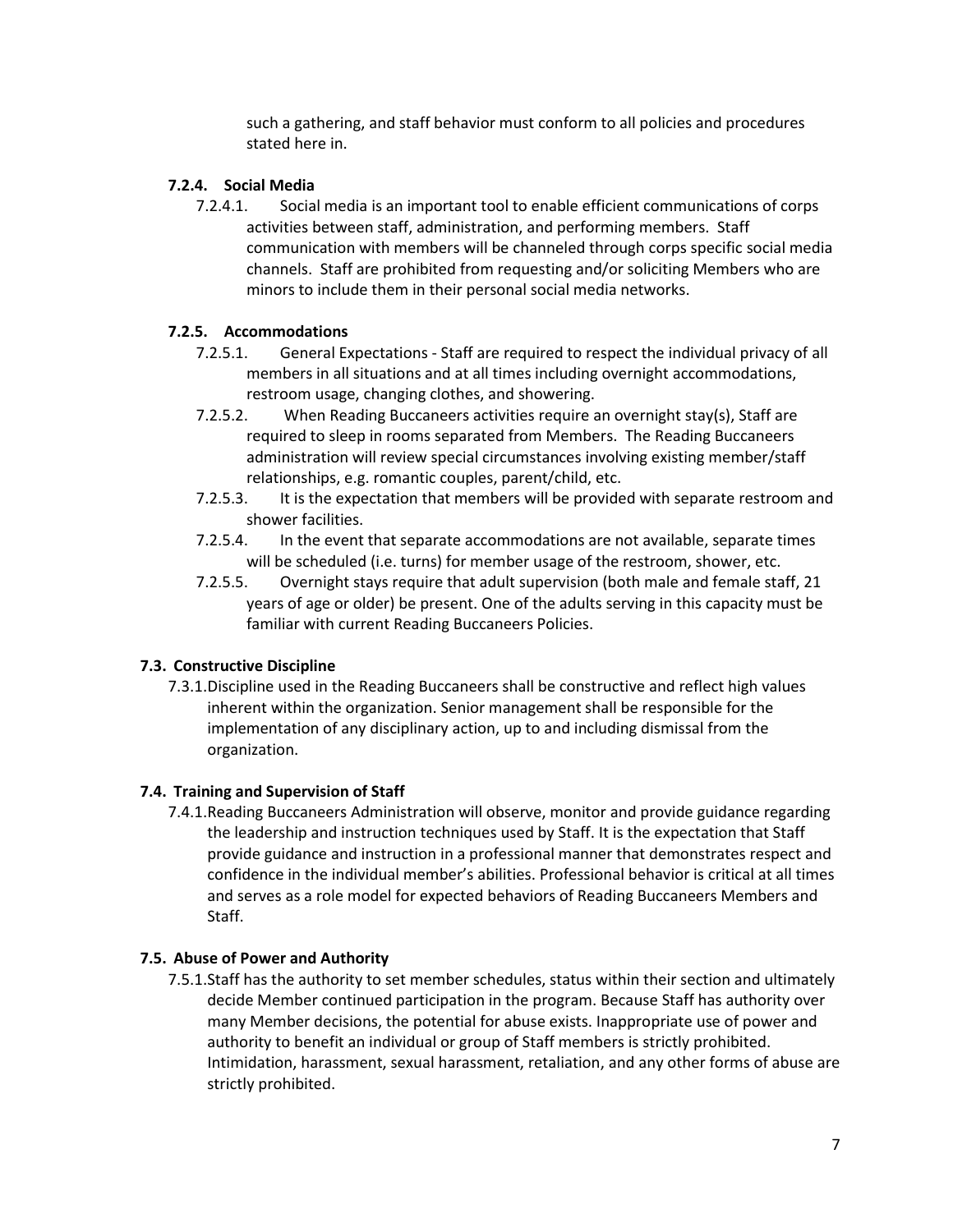such a gathering, and staff behavior must conform to all policies and procedures stated here in.

#### **7.2.4. Social Media**

7.2.4.1. Social media is an important tool to enable efficient communications of corps activities between staff, administration, and performing members. Staff communication with members will be channeled through corps specific social media channels. Staff are prohibited from requesting and/or soliciting Members who are minors to include them in their personal social media networks.

#### **7.2.5. Accommodations**

- 7.2.5.1. General Expectations Staff are required to respect the individual privacy of all members in all situations and at all times including overnight accommodations, restroom usage, changing clothes, and showering.
- 7.2.5.2. When Reading Buccaneers activities require an overnight stay(s), Staff are required to sleep in rooms separated from Members. The Reading Buccaneers administration will review special circumstances involving existing member/staff relationships, e.g. romantic couples, parent/child, etc.
- 7.2.5.3. It is the expectation that members will be provided with separate restroom and shower facilities.
- 7.2.5.4. In the event that separate accommodations are not available, separate times will be scheduled (i.e. turns) for member usage of the restroom, shower, etc.
- 7.2.5.5. Overnight stays require that adult supervision (both male and female staff, 21 years of age or older) be present. One of the adults serving in this capacity must be familiar with current Reading Buccaneers Policies.

#### **7.3. Constructive Discipline**

7.3.1.Discipline used in the Reading Buccaneers shall be constructive and reflect high values inherent within the organization. Senior management shall be responsible for the implementation of any disciplinary action, up to and including dismissal from the organization.

#### **7.4. Training and Supervision of Staff**

7.4.1.Reading Buccaneers Administration will observe, monitor and provide guidance regarding the leadership and instruction techniques used by Staff. It is the expectation that Staff provide guidance and instruction in a professional manner that demonstrates respect and confidence in the individual member's abilities. Professional behavior is critical at all times and serves as a role model for expected behaviors of Reading Buccaneers Members and Staff.

#### **7.5. Abuse of Power and Authority**

7.5.1.Staff has the authority to set member schedules, status within their section and ultimately decide Member continued participation in the program. Because Staff has authority over many Member decisions, the potential for abuse exists. Inappropriate use of power and authority to benefit an individual or group of Staff members is strictly prohibited. Intimidation, harassment, sexual harassment, retaliation, and any other forms of abuse are strictly prohibited.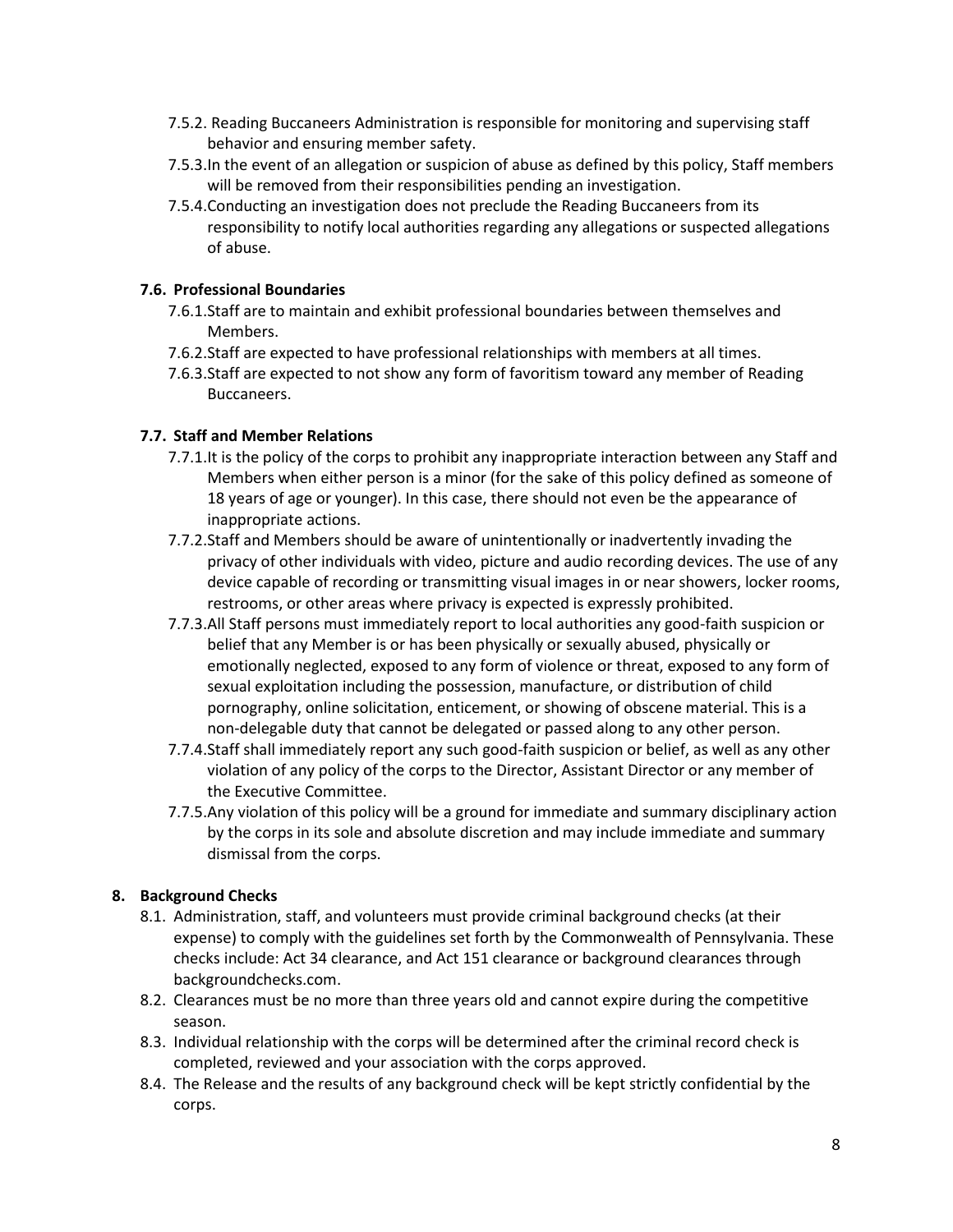- 7.5.2. Reading Buccaneers Administration is responsible for monitoring and supervising staff behavior and ensuring member safety.
- 7.5.3.In the event of an allegation or suspicion of abuse as defined by this policy, Staff members will be removed from their responsibilities pending an investigation.
- 7.5.4.Conducting an investigation does not preclude the Reading Buccaneers from its responsibility to notify local authorities regarding any allegations or suspected allegations of abuse.

#### **7.6. Professional Boundaries**

- 7.6.1.Staff are to maintain and exhibit professional boundaries between themselves and Members.
- 7.6.2.Staff are expected to have professional relationships with members at all times.
- 7.6.3.Staff are expected to not show any form of favoritism toward any member of Reading Buccaneers.

#### **7.7. Staff and Member Relations**

- 7.7.1.It is the policy of the corps to prohibit any inappropriate interaction between any Staff and Members when either person is a minor (for the sake of this policy defined as someone of 18 years of age or younger). In this case, there should not even be the appearance of inappropriate actions.
- 7.7.2.Staff and Members should be aware of unintentionally or inadvertently invading the privacy of other individuals with video, picture and audio recording devices. The use of any device capable of recording or transmitting visual images in or near showers, locker rooms, restrooms, or other areas where privacy is expected is expressly prohibited.
- 7.7.3.All Staff persons must immediately report to local authorities any good-faith suspicion or belief that any Member is or has been physically or sexually abused, physically or emotionally neglected, exposed to any form of violence or threat, exposed to any form of sexual exploitation including the possession, manufacture, or distribution of child pornography, online solicitation, enticement, or showing of obscene material. This is a non-delegable duty that cannot be delegated or passed along to any other person.
- 7.7.4.Staff shall immediately report any such good-faith suspicion or belief, as well as any other violation of any policy of the corps to the Director, Assistant Director or any member of the Executive Committee.
- 7.7.5.Any violation of this policy will be a ground for immediate and summary disciplinary action by the corps in its sole and absolute discretion and may include immediate and summary dismissal from the corps.

#### **8. Background Checks**

- 8.1. Administration, staff, and volunteers must provide criminal background checks (at their expense) to comply with the guidelines set forth by the Commonwealth of Pennsylvania. These checks include: Act 34 clearance, and Act 151 clearance or background clearances through backgroundchecks.com.
- 8.2. Clearances must be no more than three years old and cannot expire during the competitive season.
- 8.3. Individual relationship with the corps will be determined after the criminal record check is completed, reviewed and your association with the corps approved.
- 8.4. The Release and the results of any background check will be kept strictly confidential by the corps.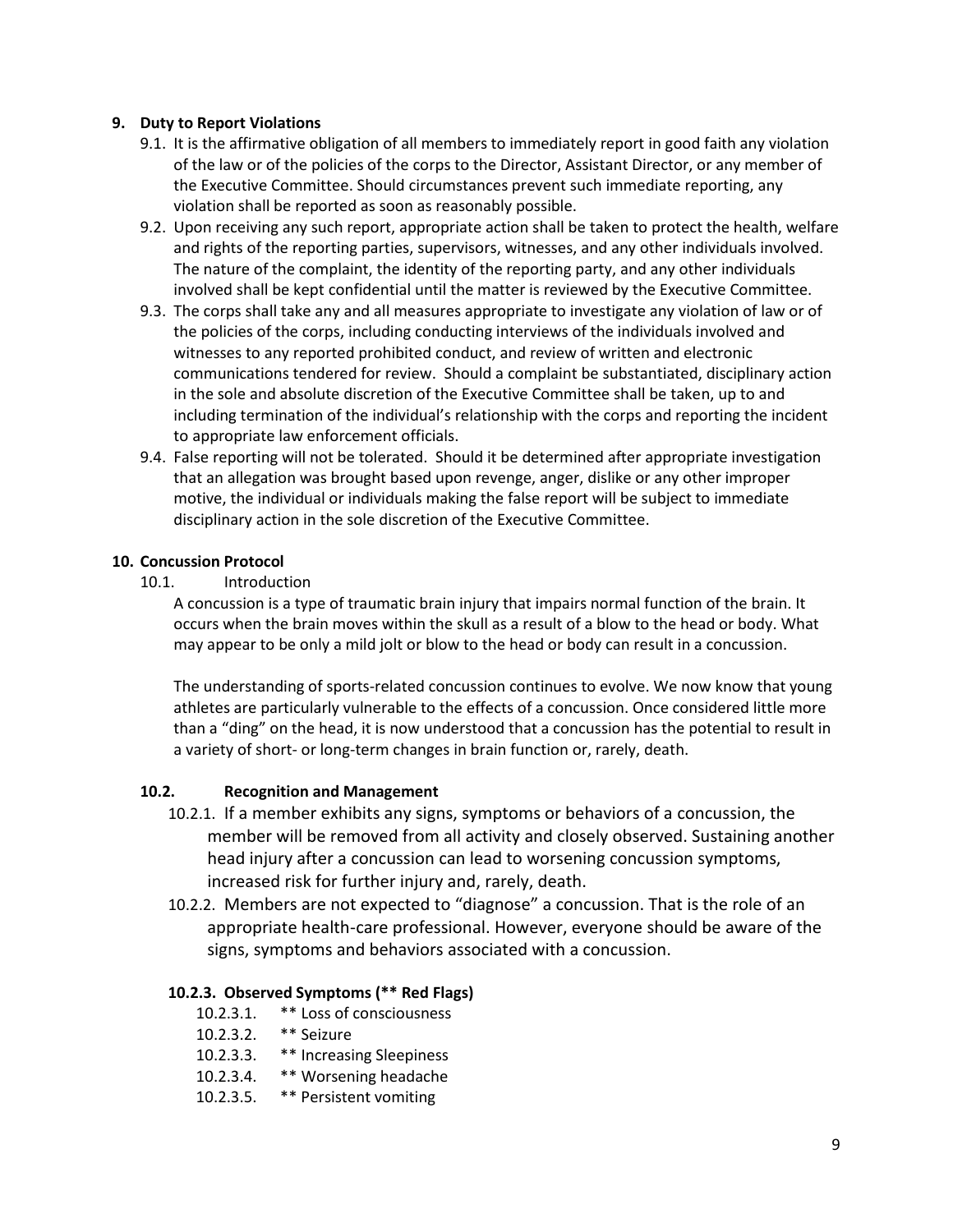#### **9. Duty to Report Violations**

- 9.1. It is the affirmative obligation of all members to immediately report in good faith any violation of the law or of the policies of the corps to the Director, Assistant Director, or any member of the Executive Committee. Should circumstances prevent such immediate reporting, any violation shall be reported as soon as reasonably possible.
- 9.2. Upon receiving any such report, appropriate action shall be taken to protect the health, welfare and rights of the reporting parties, supervisors, witnesses, and any other individuals involved. The nature of the complaint, the identity of the reporting party, and any other individuals involved shall be kept confidential until the matter is reviewed by the Executive Committee.
- 9.3. The corps shall take any and all measures appropriate to investigate any violation of law or of the policies of the corps, including conducting interviews of the individuals involved and witnesses to any reported prohibited conduct, and review of written and electronic communications tendered for review. Should a complaint be substantiated, disciplinary action in the sole and absolute discretion of the Executive Committee shall be taken, up to and including termination of the individual's relationship with the corps and reporting the incident to appropriate law enforcement officials.
- 9.4. False reporting will not be tolerated. Should it be determined after appropriate investigation that an allegation was brought based upon revenge, anger, dislike or any other improper motive, the individual or individuals making the false report will be subject to immediate disciplinary action in the sole discretion of the Executive Committee.

#### **10. Concussion Protocol**

10.1. Introduction

A concussion is a type of traumatic brain injury that impairs normal function of the brain. It occurs when the brain moves within the skull as a result of a blow to the head or body. What may appear to be only a mild jolt or blow to the head or body can result in a concussion.

The understanding of sports-related concussion continues to evolve. We now know that young athletes are particularly vulnerable to the effects of a concussion. Once considered little more than a "ding" on the head, it is now understood that a concussion has the potential to result in a variety of short- or long-term changes in brain function or, rarely, death.

#### **10.2. Recognition and Management**

- 10.2.1. If a member exhibits any signs, symptoms or behaviors of a concussion, the member will be removed from all activity and closely observed. Sustaining another head injury after a concussion can lead to worsening concussion symptoms, increased risk for further injury and, rarely, death.
- 10.2.2. Members are not expected to "diagnose" a concussion. That is the role of an appropriate health-care professional. However, everyone should be aware of the signs, symptoms and behaviors associated with a concussion.

#### **10.2.3. Observed Symptoms (\*\* Red Flags)**

- 10.2.3.1. \*\* Loss of consciousness
- 10.2.3.2. \*\* Seizure
- 10.2.3.3. \*\* Increasing Sleepiness
- 10.2.3.4. \*\* Worsening headache
- 10.2.3.5. \*\* Persistent vomiting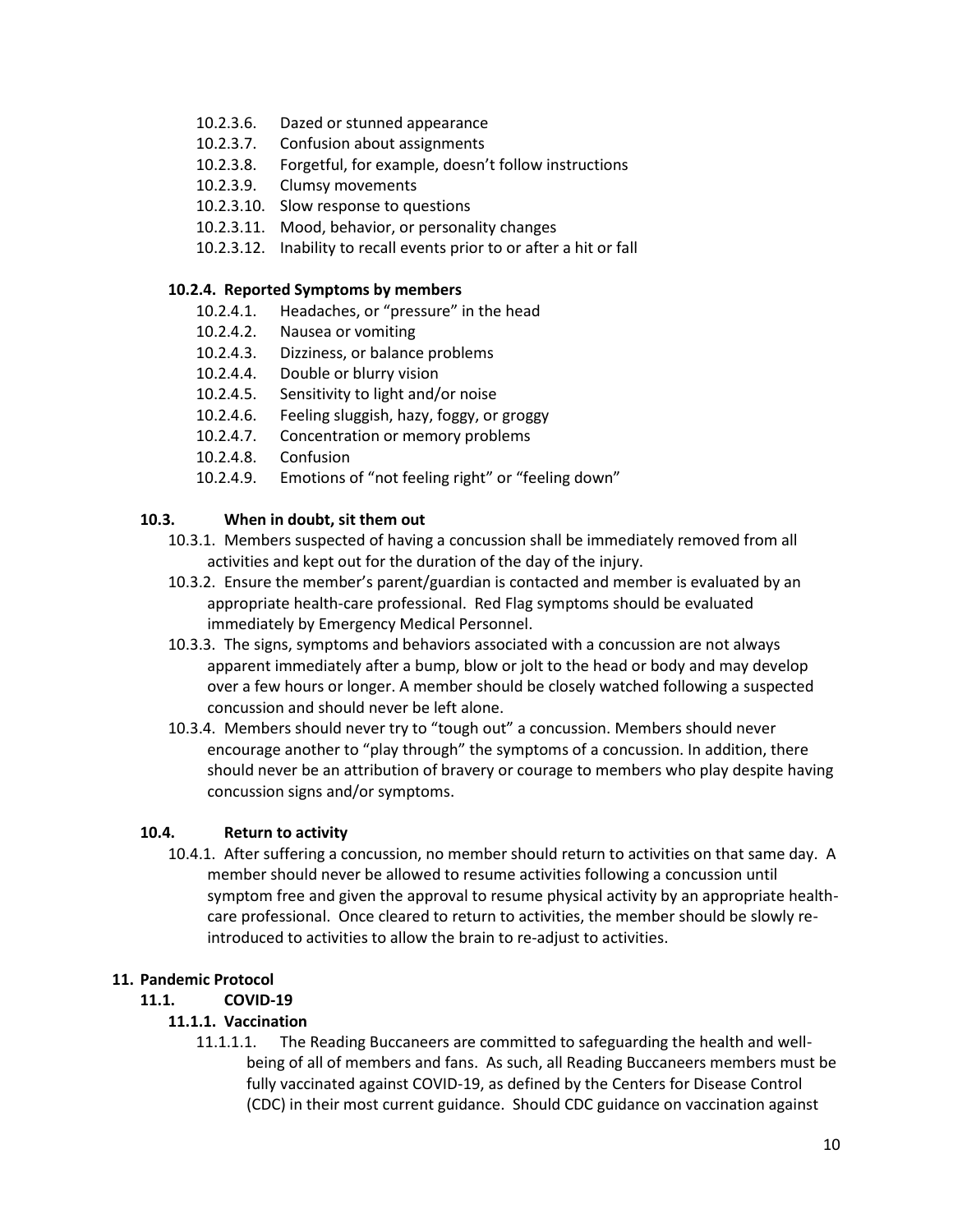- 10.2.3.6. Dazed or stunned appearance
- 10.2.3.7. Confusion about assignments
- 10.2.3.8. Forgetful, for example, doesn't follow instructions
- 10.2.3.9. Clumsy movements
- 10.2.3.10. Slow response to questions
- 10.2.3.11. Mood, behavior, or personality changes
- 10.2.3.12. Inability to recall events prior to or after a hit or fall

#### **10.2.4. Reported Symptoms by members**

- 10.2.4.1. Headaches, or "pressure" in the head
- 10.2.4.2. Nausea or vomiting
- 10.2.4.3. Dizziness, or balance problems
- 10.2.4.4. Double or blurry vision
- 10.2.4.5. Sensitivity to light and/or noise
- 10.2.4.6. Feeling sluggish, hazy, foggy, or groggy
- 10.2.4.7. Concentration or memory problems
- 10.2.4.8. Confusion
- 10.2.4.9. Emotions of "not feeling right" or "feeling down"

#### **10.3. When in doubt, sit them out**

- 10.3.1. Members suspected of having a concussion shall be immediately removed from all activities and kept out for the duration of the day of the injury.
- 10.3.2. Ensure the member's parent/guardian is contacted and member is evaluated by an appropriate health-care professional. Red Flag symptoms should be evaluated immediately by Emergency Medical Personnel.
- 10.3.3. The signs, symptoms and behaviors associated with a concussion are not always apparent immediately after a bump, blow or jolt to the head or body and may develop over a few hours or longer. A member should be closely watched following a suspected concussion and should never be left alone.
- 10.3.4. Members should never try to "tough out" a concussion. Members should never encourage another to "play through" the symptoms of a concussion. In addition, there should never be an attribution of bravery or courage to members who play despite having concussion signs and/or symptoms.

#### **10.4. Return to activity**

10.4.1. After suffering a concussion, no member should return to activities on that same day. A member should never be allowed to resume activities following a concussion until symptom free and given the approval to resume physical activity by an appropriate healthcare professional. Once cleared to return to activities, the member should be slowly reintroduced to activities to allow the brain to re-adjust to activities.

#### **11. Pandemic Protocol**

### **11.1. COVID-19**

#### **11.1.1. Vaccination**

11.1.1.1. The Reading Buccaneers are committed to safeguarding the health and wellbeing of all of members and fans. As such, all Reading Buccaneers members must be fully vaccinated against COVID-19, as defined by the Centers for Disease Control (CDC) in their most current guidance. Should CDC guidance on vaccination against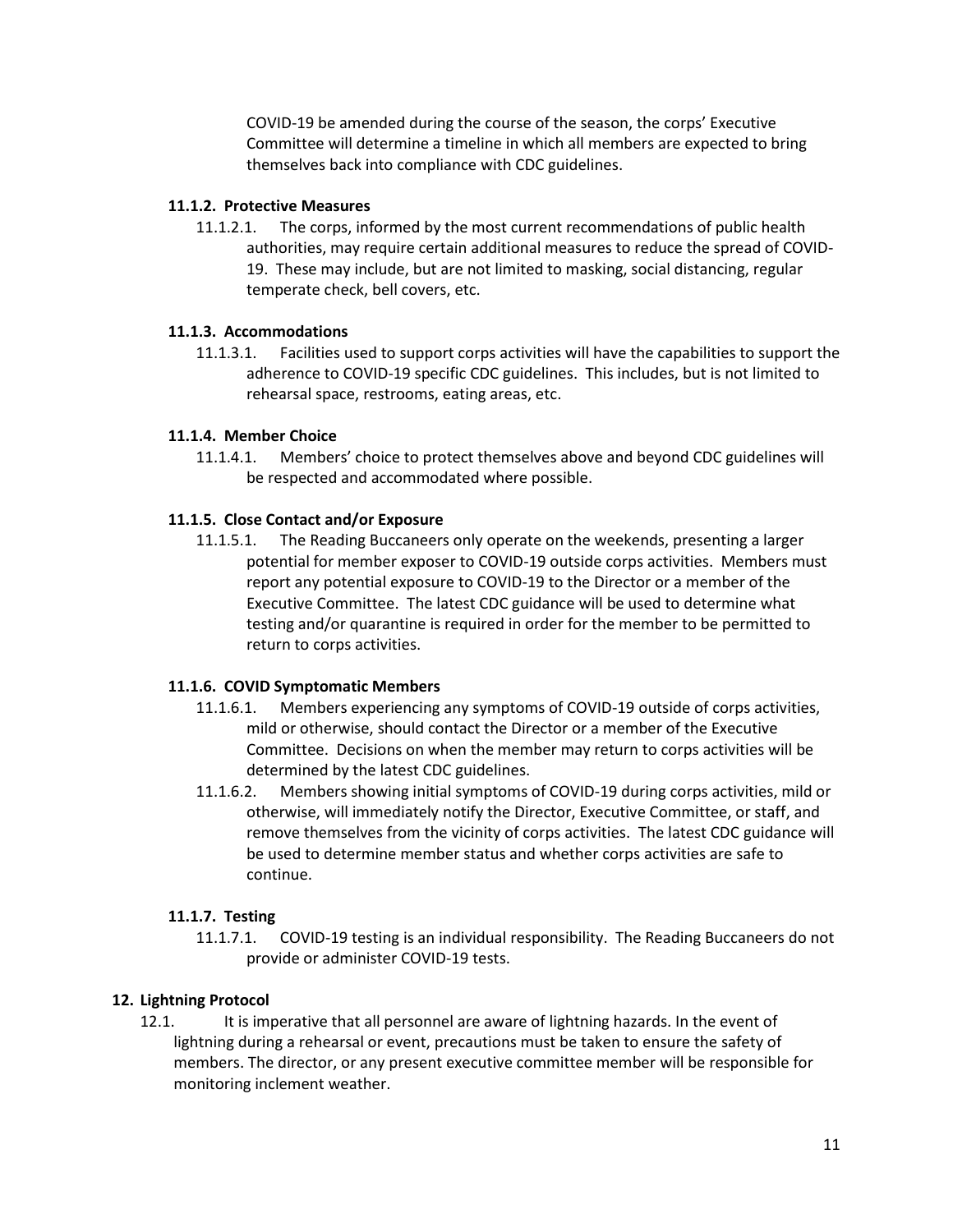COVID-19 be amended during the course of the season, the corps' Executive Committee will determine a timeline in which all members are expected to bring themselves back into compliance with CDC guidelines.

#### **11.1.2. Protective Measures**

11.1.2.1. The corps, informed by the most current recommendations of public health authorities, may require certain additional measures to reduce the spread of COVID-19. These may include, but are not limited to masking, social distancing, regular temperate check, bell covers, etc.

#### **11.1.3. Accommodations**

11.1.3.1. Facilities used to support corps activities will have the capabilities to support the adherence to COVID-19 specific CDC guidelines. This includes, but is not limited to rehearsal space, restrooms, eating areas, etc.

#### **11.1.4. Member Choice**

11.1.4.1. Members' choice to protect themselves above and beyond CDC guidelines will be respected and accommodated where possible.

#### **11.1.5. Close Contact and/or Exposure**

11.1.5.1. The Reading Buccaneers only operate on the weekends, presenting a larger potential for member exposer to COVID-19 outside corps activities. Members must report any potential exposure to COVID-19 to the Director or a member of the Executive Committee. The latest CDC guidance will be used to determine what testing and/or quarantine is required in order for the member to be permitted to return to corps activities.

#### **11.1.6. COVID Symptomatic Members**

- 11.1.6.1. Members experiencing any symptoms of COVID-19 outside of corps activities, mild or otherwise, should contact the Director or a member of the Executive Committee. Decisions on when the member may return to corps activities will be determined by the latest CDC guidelines.
- 11.1.6.2. Members showing initial symptoms of COVID-19 during corps activities, mild or otherwise, will immediately notify the Director, Executive Committee, or staff, and remove themselves from the vicinity of corps activities. The latest CDC guidance will be used to determine member status and whether corps activities are safe to continue.

#### **11.1.7. Testing**

11.1.7.1. COVID-19 testing is an individual responsibility. The Reading Buccaneers do not provide or administer COVID-19 tests.

#### **12. Lightning Protocol**

12.1. It is imperative that all personnel are aware of lightning hazards. In the event of lightning during a rehearsal or event, precautions must be taken to ensure the safety of members. The director, or any present executive committee member will be responsible for monitoring inclement weather.